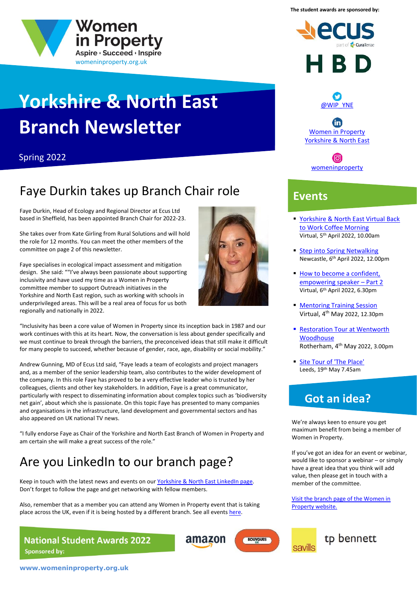



# **Yorkshire & North East Branch Newsletter**

#### Spring 2022

# Faye Durkin takes up Branch Chair role

Faye Durkin, Head of Ecology and Regional Director at Ecus Ltd based in Sheffield, has been appointed Branch Chair for 2022-23.

She takes over from Kate Girling from Rural Solutions and will hold the role for 12 months. You can meet the other members of the committee on page 2 of this newsletter.

Faye specialises in ecological impact assessment and mitigation design. She said: ""I've always been passionate about supporting inclusivity and have used my time as a Women in Property committee member to support Outreach initiatives in the Yorkshire and North East region, such as working with schools in underprivileged areas. This will be a real area of focus for us both regionally and nationally in 2022.



"Inclusivity has been a core value of Women in Property since its inception back in 1987 and our work continues with this at its heart. Now, the conversation is less about gender specifically and we must continue to break through the barriers, the preconceived ideas that still make it difficult for many people to succeed, whether because of gender, race, age, disability or social mobility."

Andrew Gunning, MD of Ecus Ltd said, "Faye leads a team of ecologists and project managers and, as a member of the senior leadership team, also contributes to the wider development of the company. In this role Faye has proved to be a very effective leader who is trusted by her colleagues, clients and other key stakeholders. In addition, Faye is a great communicator, particularly with respect to disseminating information about complex topics such as 'biodiversity net gain', about which she is passionate. On this topic Faye has presented to many companies and organisations in the infrastructure, land development and governmental sectors and has also appeared on UK national TV news.

"I fully endorse Faye as Chair of the Yorkshire and North East Branch of Women in Property and am certain she will make a great success of the role."

# Are you LinkedIn to our branch page?

Keep in touch with the latest news and events on our [Yorkshire & North East](https://www.linkedin.com/showcase/association-of-women-in-property-yorkshire-&-north-east/) LinkedIn page. Don't forget to follow the page and get networking with fellow members.

Also, remember that as a member you can attend any Women in Property event that is taking place across the UK, even if it is being hosted by a different branch. See all event[s here.](https://www.womeninproperty.org.uk/events/)

amazon

**BOUYGUES** 

**National Student Awards 2022 Sponsored by:** 







 $\mathbf{in}$ [Women in Property](https://www.linkedin.com/showcase/association-of-women-in-property-yorkshire-&-north-east/)  [Yorkshire & North East](https://www.linkedin.com/showcase/association-of-women-in-property-yorkshire-&-north-east/)



#### **Events**

- [Yorkshire & North East Virtual Back](https://www.womeninproperty.org.uk/branches/yorkshire-north-east/events/2022/yorkshire-north-east-back-to-work-coffee-morning/)  [to Work Coffee Morning](https://www.womeninproperty.org.uk/branches/yorkshire-north-east/events/2022/yorkshire-north-east-back-to-work-coffee-morning/) Virtual, 5 th April 2022, 10.00am
- [Step into Spring](https://www.womeninproperty.org.uk/branches/yorkshire-north-east/events/2022/step-into-spring-netwalking/) Netwalking Newcastle, 6 th April 2022, 12.00pm
- **How to become a confident,** [empowering speaker](https://www.womeninproperty.org.uk/branches/south-west/events/2022/how-to-become-a-confident-empowering-speaker-part-2/) – Part 2 Virtual, 6 th April 2022, 6.30pm
- **[Mentoring Training Session](https://www.womeninproperty.org.uk/events/2022/mentoring-training-session-with-sandi-rhys-jones-obe/)** Virtual, 4 th May 2022, 12.30pm
- Restoration Tour at Wentworth **[Woodhouse](https://www.womeninproperty.org.uk/branches/yorkshire-north-east/events/2022/restoration-tour-at-wentworth-woodhouse/)** Rotherham, 4 th May 2022, 3.00pm
- **[Site Tour of 'The Place'](https://www.womeninproperty.org.uk/events/2022/breakfast-at-ukreiif-hosted-by-citu/)** Leeds, 19th May 7.45am

### **Got an idea?**

We're always keen to ensure you get maximum benefit from being a member of Women in Property.

If you've got an idea for an event or webinar, would like to sponsor a webinar – or simply have a great idea that you think will add value, then please get in touch with a member of the committee.

[Visit the branch page of the Women in](https://www.womeninproperty.org.uk/branches/)  [Property website.](https://www.womeninproperty.org.uk/branches/)

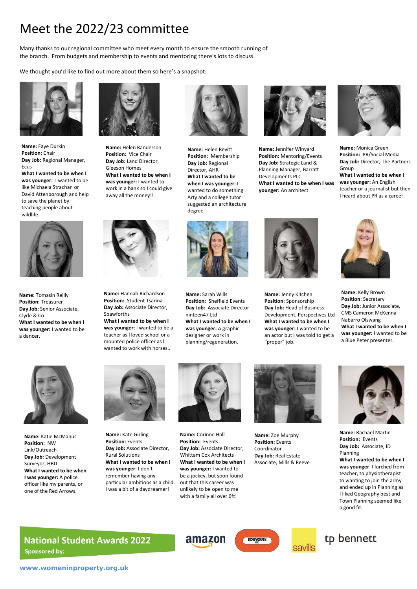# Meet the 2022/23 committee

Many thanks to our regional committee who meet every month to ensure the smooth running of the branch. From budgets and membership to events and mentoring there's lots to discuss.

We thought you'd like to find out more about them so here's a snapshot:



**Name:** Faye Durkin **Position:** Chair **Day Job:** Regional Manager, Ecus **What I wanted to be when I was younger:** I wanted to be like Michaela Strachan or

David Attenborough and help to save the planet by teaching people about wildlife.



**Name:** Tomasin Reilly **Position:** Treasurer **Day Job:** Senior Associate, Clyde & Co **What I wanted to be when I was younger:** I wanted to be a dancer.



**Name:** Helen Randerson **Position:** Vice Chair **Day Job:** Land Director, Gleeson Homes **What I wanted to be when I was younger:** I wanted to work in a bank so I could give away all the money!!



**Name:** Hannah Richardson **Position:** Student Tsarina **Day Job:** Associate Director, Spawforths **What I wanted to be when I** 

**was younger:** I wanted to be a teacher as l loved school or a mounted police officer as l wanted to work with horses..



**Name:** Helen Revitt **Position:** Membership **Day Job:** Regional Director, AHR **What I wanted to be when I was younger:** I wanted to do something Arty and a college tutor suggested an architecture degree.



**Name:** Sarah Wills **Position:** Sheffield Events **Day Job:** Associate Director ninteen47 Ltd **What I wanted to be when I was younger:** A graphic designer or work in planning/regeneration.



**Name:** Jennifer Winyard **Position:** Mentoring/Events **Day Job:** Strategic Land & Planning Manager, Barratt Developments PLC **What I wanted to be when I was younger:** An architect



**Name:** Monica Green **Position:** PR/Social Media **Day Job:** Director, The Partners Group **What I wanted to be when I was younger:** An English teacher or a journalist but then I heard about PR as a career.



**Name:** Jenny Kitchen **Position**: Sponsorship **Day Job:** Head of Business Development, Perspectives Ltd **What I wanted to be when I was younger:** I wanted to be an actor but I was told to get a "proper" job.



**Name:** Kelly Brown **Position**: Secretary **Day Job:** Junior Associate, CMS Cameron McKenna Nabarro Olswang **What I wanted to be when I was younger:** I wanted to be a Blue Peter presenter.



**Name:** Katie McManus **Position:** NW Link/Outreach **Day Job:** Development Surveyor, HBD **What I wanted to be when I was younger:** A police officer like my parents, or one of the Red Arrows.



**Name:** Kate Girling **Position:** Events **Day Job:** Associate Director, Rural Solutions **What I wanted to be when I was younger**: I don't remember having any particular ambitions as a child. I was a bit of a daydreamer!



**Name:** Corinne Hall **Position:** Events **Day Job:** Associate Director, Whittam Cox Architects **What I wanted to be when I was younger:** I wanted to be a jockey, but soon found out that this career was unlikely to be open to me with a family all over 6ft!

amazon



**Name:** Zoe Murphy **Position:** Events Coordinator **Day Job:** Real Estate Associate, Mills & Reeve

**BOUYGUES** 



**Name:** Rachael Martin **Position:** Events **Day Job:** Associate, ID Planning **What I wanted to be when I was younger**: I lurched from teacher, to physiotherapist to wanting to join the army and ended up in Planning as I liked Geography best and Town Planning seemed like a good fit.

tp bennett

#### **National Student Awards 2022 Sponsored by:**